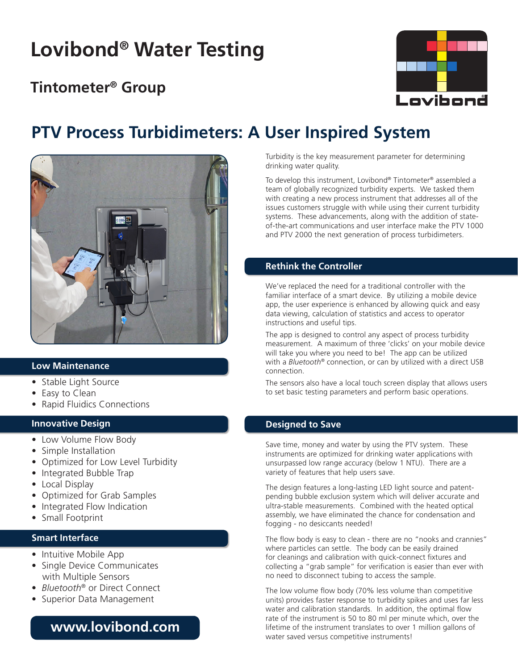# **Lovibond® Water Testing**

### **Tintometer® Group**



## **PTV Process Turbidimeters: A User Inspired System**



### **Low Maintenance**

- Stable Light Source
- Easy to Clean
- Rapid Fluidics Connections

### **Innovative Design**

- Low Volume Flow Body
- Simple Installation
- Optimized for Low Level Turbidity
- Integrated Bubble Trap
- Local Display
- Optimized for Grab Samples
- Integrated Flow Indication
- Small Footprint

### **Smart Interface**

- Intuitive Mobile App
- Single Device Communicates with Multiple Sensors
- *Bluetooth*® or Direct Connect
- Superior Data Management

### **www.lovibond.com**

Turbidity is the key measurement parameter for determining drinking water quality.

To develop this instrument, Lovibond® Tintometer® assembled a team of globally recognized turbidity experts. We tasked them with creating a new process instrument that addresses all of the issues customers struggle with while using their current turbidity systems. These advancements, along with the addition of stateof-the-art communications and user interface make the PTV 1000 and PTV 2000 the next generation of process turbidimeters.

### **Rethink the Controller**

We've replaced the need for a traditional controller with the familiar interface of a smart device. By utilizing a mobile device app, the user experience is enhanced by allowing quick and easy data viewing, calculation of statistics and access to operator instructions and useful tips.

The app is designed to control any aspect of process turbidity measurement. A maximum of three 'clicks' on your mobile device will take you where you need to be! The app can be utilized with a *Bluetooth®* connection, or can by utilized with a direct USB connection.

The sensors also have a local touch screen display that allows users to set basic testing parameters and perform basic operations.

### **Designed to Save**

Save time, money and water by using the PTV system. These instruments are optimized for drinking water applications with unsurpassed low range accuracy (below 1 NTU). There are a variety of features that help users save.

The design features a long-lasting LED light source and patentpending bubble exclusion system which will deliver accurate and ultra-stable measurements. Combined with the heated optical assembly, we have eliminated the chance for condensation and fogging - no desiccants needed!

The flow body is easy to clean - there are no "nooks and crannies" where particles can settle. The body can be easily drained for cleanings and calibration with quick-connect fixtures and collecting a "grab sample" for verification is easier than ever with no need to disconnect tubing to access the sample.

The low volume flow body (70% less volume than competitive units) provides faster response to turbidity spikes and uses far less water and calibration standards. In addition, the optimal flow rate of the instrument is 50 to 80 ml per minute which, over the lifetime of the instrument translates to over 1 million gallons of water saved versus competitive instruments!